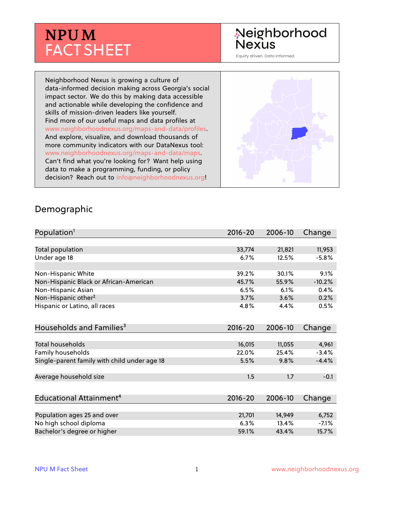# **NPUM** FACT SHEET

# Neighborhood **Nexus**

Equity driven. Data informed.

Neighborhood Nexus is growing a culture of data-informed decision making across Georgia's social impact sector. We do this by making data accessible and actionable while developing the confidence and skills of mission-driven leaders like yourself. Find more of our useful maps and data profiles at www.neighborhoodnexus.org/maps-and-data/profiles. And explore, visualize, and download thousands of more community indicators with our DataNexus tool: www.neighborhoodnexus.org/maps-and-data/maps. Can't find what you're looking for? Want help using data to make a programming, funding, or policy decision? Reach out to [info@neighborhoodnexus.org!](mailto:info@neighborhoodnexus.org)



#### Demographic

| Population <sup>1</sup>                      | $2016 - 20$ | 2006-10 | Change   |
|----------------------------------------------|-------------|---------|----------|
|                                              |             |         |          |
| <b>Total population</b>                      | 33,774      | 21,821  | 11,953   |
| Under age 18                                 | 6.7%        | 12.5%   | $-5.8%$  |
| Non-Hispanic White                           | 39.2%       | 30.1%   | 9.1%     |
| Non-Hispanic Black or African-American       | 45.7%       | 55.9%   | $-10.2%$ |
| Non-Hispanic Asian                           | 6.5%        | 6.1%    | 0.4%     |
| Non-Hispanic other <sup>2</sup>              | 3.7%        | 3.6%    | 0.2%     |
| Hispanic or Latino, all races                | 4.8%        | 4.4%    | 0.5%     |
| Households and Families <sup>3</sup>         | $2016 - 20$ | 2006-10 | Change   |
| <b>Total households</b>                      | 16,015      | 11,055  | 4,961    |
| Family households                            | 22.0%       | 25.4%   | $-3.4%$  |
| Single-parent family with child under age 18 | 5.5%        | 9.8%    | $-4.4%$  |
| Average household size                       | 1.5         | 1.7     | $-0.1$   |
|                                              |             |         |          |
| Educational Attainment <sup>4</sup>          | $2016 - 20$ | 2006-10 | Change   |
|                                              |             |         |          |
| Population ages 25 and over                  | 21,701      | 14,949  | 6,752    |
| No high school diploma                       | 6.3%        | 13.4%   | $-7.1%$  |
| Bachelor's degree or higher                  | 59.1%       | 43.4%   | 15.7%    |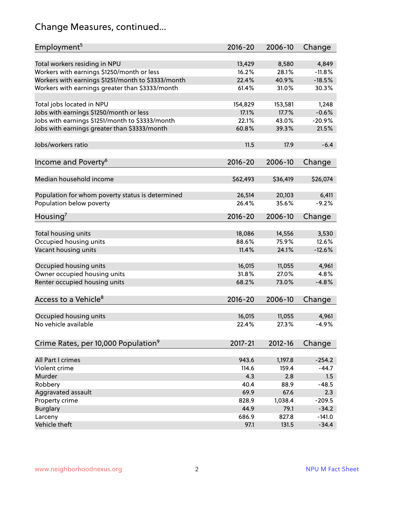# Change Measures, continued...

| Employment <sup>5</sup>                            | $2016 - 20$ | 2006-10  | Change   |
|----------------------------------------------------|-------------|----------|----------|
|                                                    |             |          |          |
| Total workers residing in NPU                      | 13,429      | 8,580    | 4,849    |
| Workers with earnings \$1250/month or less         | 16.2%       | 28.1%    | $-11.8%$ |
| Workers with earnings \$1251/month to \$3333/month | 22.4%       | 40.9%    | $-18.5%$ |
| Workers with earnings greater than \$3333/month    | 61.4%       | 31.0%    | 30.3%    |
|                                                    |             |          |          |
| Total jobs located in NPU                          | 154,829     | 153,581  | 1,248    |
| Jobs with earnings \$1250/month or less            | 17.1%       | 17.7%    | $-0.6%$  |
| Jobs with earnings \$1251/month to \$3333/month    | 22.1%       | 43.0%    | $-20.9%$ |
| Jobs with earnings greater than \$3333/month       | 60.8%       | 39.3%    | 21.5%    |
|                                                    |             |          |          |
| Jobs/workers ratio                                 | 11.5        | 17.9     | $-6.4$   |
|                                                    |             |          |          |
| Income and Poverty <sup>6</sup>                    | $2016 - 20$ | 2006-10  | Change   |
|                                                    |             |          |          |
| Median household income                            | \$62,493    | \$36,419 | \$26,074 |
|                                                    |             |          |          |
| Population for whom poverty status is determined   | 26,514      | 20,103   | 6,411    |
| Population below poverty                           | 26.4%       | 35.6%    | $-9.2%$  |
|                                                    |             |          |          |
| Housing <sup>7</sup>                               | $2016 - 20$ | 2006-10  | Change   |
|                                                    |             |          |          |
| Total housing units                                | 18,086      | 14,556   | 3,530    |
| Occupied housing units                             | 88.6%       | 75.9%    | 12.6%    |
| Vacant housing units                               | 11.4%       | 24.1%    | $-12.6%$ |
|                                                    |             |          |          |
| Occupied housing units                             | 16,015      | 11,055   | 4,961    |
| Owner occupied housing units                       | 31.8%       | 27.0%    | 4.8%     |
| Renter occupied housing units                      | 68.2%       | 73.0%    | $-4.8%$  |
|                                                    |             |          |          |
| Access to a Vehicle <sup>8</sup>                   | $2016 - 20$ | 2006-10  | Change   |
|                                                    |             |          |          |
|                                                    |             |          |          |
| Occupied housing units                             | 16,015      | 11,055   | 4,961    |
| No vehicle available                               | 22.4%       | 27.3%    | $-4.9%$  |
|                                                    |             |          |          |
| Crime Rates, per 10,000 Population <sup>9</sup>    | 2017-21     | 2012-16  | Change   |
|                                                    |             |          |          |
| All Part I crimes                                  | 943.6       | 1,197.8  | $-254.2$ |
| Violent crime                                      | 114.6       | 159.4    | $-44.7$  |
| Murder                                             | 4.3         | 2.8      | 1.5      |
| Robbery                                            | 40.4        | 88.9     | $-48.5$  |
| Aggravated assault                                 | 69.9        | 67.6     | 2.3      |
| Property crime                                     | 828.9       | 1,038.4  | $-209.5$ |
| <b>Burglary</b>                                    | 44.9        | 79.1     | $-34.2$  |
| Larceny                                            | 686.9       | 827.8    | $-141.0$ |
| Vehicle theft                                      | 97.1        | 131.5    | $-34.4$  |
|                                                    |             |          |          |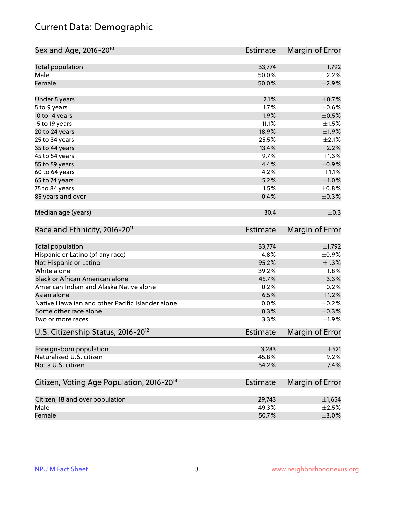# Current Data: Demographic

| Sex and Age, 2016-20 <sup>10</sup>                    | Estimate        | Margin of Error |
|-------------------------------------------------------|-----------------|-----------------|
| Total population                                      | 33,774          | $\pm$ 1,792     |
| Male                                                  | 50.0%           | $\pm 2.2\%$     |
| Female                                                | 50.0%           | $\pm 2.9\%$     |
| Under 5 years                                         | 2.1%            | $\pm$ 0.7%      |
| 5 to 9 years                                          | 1.7%            | $\pm$ 0.6%      |
| 10 to 14 years                                        | 1.9%            | $\pm$ 0.5%      |
| 15 to 19 years                                        | 11.1%           | $\pm 1.5\%$     |
| 20 to 24 years                                        | 18.9%           | ±1.9%           |
| 25 to 34 years                                        | 25.5%           | $\pm 2.1\%$     |
| 35 to 44 years                                        | 13.4%           | $\pm 2.2\%$     |
| 45 to 54 years                                        | 9.7%            | $\pm 1.3\%$     |
| 55 to 59 years                                        | 4.4%            | $\pm$ 0.9%      |
| 60 to 64 years                                        | 4.2%            | $\pm 1.1\%$     |
| 65 to 74 years                                        | 5.2%            | $\pm1.0\%$      |
| 75 to 84 years                                        | 1.5%            | $\pm$ 0.8%      |
| 85 years and over                                     | 0.4%            | $\pm$ 0.3%      |
| Median age (years)                                    | 30.4            | $\pm$ 0.3       |
| Race and Ethnicity, 2016-20 <sup>11</sup>             | Estimate        | Margin of Error |
| Total population                                      | 33,774          | ±1,792          |
| Hispanic or Latino (of any race)                      | 4.8%            | $\pm$ 0.9%      |
| Not Hispanic or Latino                                | 95.2%           | $\pm 1.3\%$     |
| White alone                                           | 39.2%           | $\pm1.8\%$      |
| Black or African American alone                       | 45.7%           | ±3.3%           |
| American Indian and Alaska Native alone               | 0.2%            | $\pm$ 0.2%      |
| Asian alone                                           | 6.5%            | $\pm 1.2\%$     |
| Native Hawaiian and other Pacific Islander alone      | 0.0%            | $\pm$ 0.2%      |
| Some other race alone                                 | 0.3%            | $\pm$ 0.3%      |
| Two or more races                                     | 3.3%            | ±1.9%           |
| U.S. Citizenship Status, 2016-20 <sup>12</sup>        | <b>Estimate</b> | Margin of Error |
| Foreign-born population                               | 3,283           | $\pm$ 521       |
| Naturalized U.S. citizen                              | 45.8%           | $\pm$ 9.2%      |
| Not a U.S. citizen                                    | 54.2%           | $\pm$ 7.4%      |
| Citizen, Voting Age Population, 2016-20 <sup>13</sup> | <b>Estimate</b> | Margin of Error |
| Citizen, 18 and over population                       | 29,743          | ±1,654          |
| Male                                                  | 49.3%           | $\pm 2.5\%$     |
| Female                                                | 50.7%           | $\pm 3.0\%$     |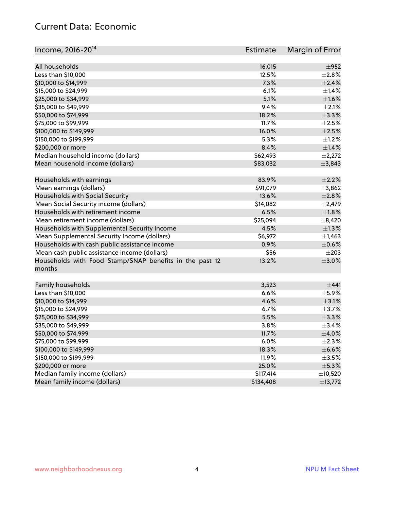#### Current Data: Economic

| Income, 2016-20 <sup>14</sup>                           | Estimate  | Margin of Error |
|---------------------------------------------------------|-----------|-----------------|
|                                                         |           |                 |
| All households                                          | 16,015    | $\pm$ 952       |
| Less than \$10,000                                      | 12.5%     | $\pm 2.8\%$     |
| \$10,000 to \$14,999                                    | 7.3%      | $\pm 2.4\%$     |
| \$15,000 to \$24,999                                    | 6.1%      | $\pm$ 1.4%      |
| \$25,000 to \$34,999                                    | 5.1%      | $\pm 1.6\%$     |
| \$35,000 to \$49,999                                    | 9.4%      | $\pm 2.1\%$     |
| \$50,000 to \$74,999                                    | 18.2%     | $\pm$ 3.3%      |
| \$75,000 to \$99,999                                    | 11.7%     | $\pm 2.5\%$     |
| \$100,000 to \$149,999                                  | 16.0%     | $\pm 2.5\%$     |
| \$150,000 to \$199,999                                  | 5.3%      | $\pm 1.2\%$     |
| \$200,000 or more                                       | 8.4%      | $\pm$ 1.4%      |
| Median household income (dollars)                       | \$62,493  | $\pm 2,272$     |
| Mean household income (dollars)                         | \$83,032  | ±3,843          |
| Households with earnings                                | 83.9%     | $\pm 2.2\%$     |
| Mean earnings (dollars)                                 | \$91,079  | ±3,862          |
| Households with Social Security                         | 13.6%     | $\pm 2.8\%$     |
| Mean Social Security income (dollars)                   | \$14,082  | $\pm 2,479$     |
| Households with retirement income                       | 6.5%      | $\pm1.8\%$      |
| Mean retirement income (dollars)                        | \$25,094  | $\pm$ 8,420     |
| Households with Supplemental Security Income            | 4.5%      | $\pm$ 1.3%      |
| Mean Supplemental Security Income (dollars)             | \$6,972   | $\pm$ 1,463     |
| Households with cash public assistance income           | 0.9%      | $\pm$ 0.6%      |
| Mean cash public assistance income (dollars)            | \$56      | $\pm 203$       |
| Households with Food Stamp/SNAP benefits in the past 12 | 13.2%     | $\pm 3.0\%$     |
| months                                                  |           |                 |
|                                                         |           |                 |
| Family households                                       | 3,523     | ±441            |
| Less than \$10,000                                      | 6.6%      | $\pm$ 5.9%      |
| \$10,000 to \$14,999                                    | 4.6%      | $\pm$ 3.1%      |
| \$15,000 to \$24,999                                    | 6.7%      | $\pm$ 3.7%      |
| \$25,000 to \$34,999                                    | 5.5%      | ±3.3%           |
| \$35,000 to \$49,999                                    | 3.8%      | ±3.4%           |
| \$50,000 to \$74,999                                    | 11.7%     | $\pm$ 4.0%      |
| \$75,000 to \$99,999                                    | 6.0%      | $\pm 2.3\%$     |
| \$100,000 to \$149,999                                  | 18.3%     | $\pm$ 6.6%      |
| \$150,000 to \$199,999                                  | 11.9%     | $\pm$ 3.5%      |
| \$200,000 or more                                       | 25.0%     | $\pm$ 5.3%      |
| Median family income (dollars)                          | \$117,414 | ±10,520         |
| Mean family income (dollars)                            | \$134,408 | ±13,772         |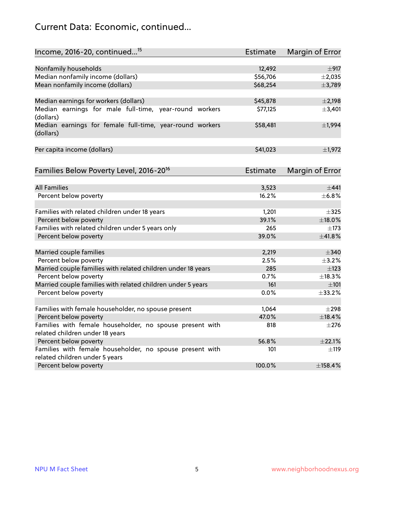# Current Data: Economic, continued...

| Income, 2016-20, continued <sup>15</sup>                                                    | <b>Estimate</b> | Margin of Error        |
|---------------------------------------------------------------------------------------------|-----------------|------------------------|
|                                                                                             |                 |                        |
| Nonfamily households                                                                        | 12,492          | $\pm$ 917              |
| Median nonfamily income (dollars)                                                           | \$56,706        | $\pm$ 2,035            |
| Mean nonfamily income (dollars)                                                             | \$68,254        | ±3,789                 |
| Median earnings for workers (dollars)                                                       | \$45,878        | $\pm 2,198$            |
| Median earnings for male full-time, year-round workers<br>(dollars)                         | \$77,125        | ±3,401                 |
| Median earnings for female full-time, year-round workers<br>(dollars)                       | \$58,481        | ±1,994                 |
| Per capita income (dollars)                                                                 | \$41,023        | ±1,972                 |
| Families Below Poverty Level, 2016-20 <sup>16</sup>                                         | Estimate        | <b>Margin of Error</b> |
|                                                                                             |                 |                        |
| <b>All Families</b>                                                                         | 3,523           | ±441                   |
| Percent below poverty                                                                       | 16.2%           | ±6.8%                  |
| Families with related children under 18 years                                               | 1,201           | $\pm$ 325              |
| Percent below poverty                                                                       | 39.1%           | ±18.0%                 |
| Families with related children under 5 years only                                           | 265             | $\pm$ 173              |
| Percent below poverty                                                                       | 39.0%           | ±41.8%                 |
| Married couple families                                                                     | 2,219           | $\pm$ 340              |
| Percent below poverty                                                                       | 2.5%            | $\pm$ 3.2%             |
| Married couple families with related children under 18 years                                | 285             | $\pm$ 123              |
| Percent below poverty                                                                       | 0.7%            | ±18.3%                 |
| Married couple families with related children under 5 years                                 | 161             | $\pm 101$              |
| Percent below poverty                                                                       | $0.0\%$         | $\pm$ 33.2%            |
|                                                                                             |                 |                        |
| Families with female householder, no spouse present                                         | 1,064           | $\pm 298$              |
| Percent below poverty                                                                       | 47.0%           | ±18.4%                 |
| Families with female householder, no spouse present with<br>related children under 18 years | 818             | $\pm 276$              |
| Percent below poverty                                                                       | 56.8%           | ±22.1%                 |
| Families with female householder, no spouse present with                                    | 101             |                        |
| related children under 5 years                                                              |                 | $\pm$ 119              |
| Percent below poverty                                                                       | 100.0%          | ±158.4%                |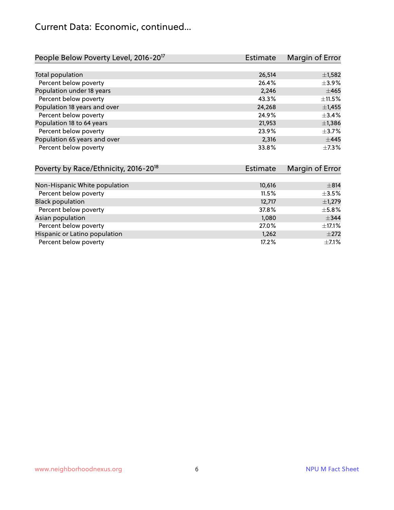# Current Data: Economic, continued...

| People Below Poverty Level, 2016-20 <sup>17</sup> | Estimate | Margin of Error |
|---------------------------------------------------|----------|-----------------|
|                                                   |          |                 |
| Total population                                  | 26,514   | $\pm$ 1,582     |
| Percent below poverty                             | 26.4%    | $\pm$ 3.9%      |
| Population under 18 years                         | 2.246    | $\pm 465$       |
| Percent below poverty                             | 43.3%    | ±11.5%          |
| Population 18 years and over                      | 24,268   | ±1,455          |
| Percent below poverty                             | 24.9%    | $+3.4%$         |
| Population 18 to 64 years                         | 21,953   | $\pm$ 1,386     |
| Percent below poverty                             | 23.9%    | $\pm$ 3.7%      |
| Population 65 years and over                      | 2,316    | $\pm$ 445       |
| Percent below poverty                             | 33.8%    | $\pm$ 7.3%      |

| Poverty by Race/Ethnicity, 2016-20 <sup>18</sup> | Estimate | Margin of Error |
|--------------------------------------------------|----------|-----------------|
|                                                  |          |                 |
| Non-Hispanic White population                    | 10,616   | $\pm$ 814       |
| Percent below poverty                            | 11.5%    | $\pm$ 3.5%      |
| <b>Black population</b>                          | 12,717   | $\pm$ 1,279     |
| Percent below poverty                            | 37.8%    | $\pm$ 5.8%      |
| Asian population                                 | 1,080    | $\pm$ 344       |
| Percent below poverty                            | 27.0%    | $\pm$ 17.1%     |
| Hispanic or Latino population                    | 1,262    | $\pm 272$       |
| Percent below poverty                            | 17.2%    | $\pm$ 7.1%      |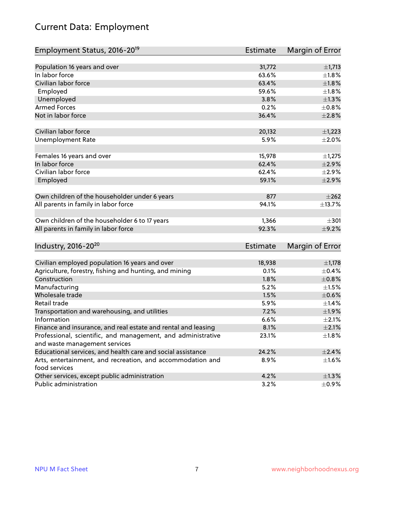# Current Data: Employment

| Employment Status, 2016-20 <sup>19</sup>                      | <b>Estimate</b> | Margin of Error |
|---------------------------------------------------------------|-----------------|-----------------|
|                                                               |                 |                 |
| Population 16 years and over                                  | 31,772          | $\pm$ 1,713     |
| In labor force                                                | 63.6%           | $\pm 1.8\%$     |
| Civilian labor force                                          | 63.4%           | ±1.8%           |
| Employed                                                      | 59.6%           | $\pm1.8\%$      |
| Unemployed                                                    | 3.8%            | $\pm 1.3\%$     |
| <b>Armed Forces</b>                                           | 0.2%            | $\pm 0.8\%$     |
| Not in labor force                                            | 36.4%           | $\pm 2.8\%$     |
| Civilian labor force                                          | 20,132          | $\pm$ 1,223     |
| <b>Unemployment Rate</b>                                      | 5.9%            | $\pm 2.0\%$     |
|                                                               |                 |                 |
| Females 16 years and over                                     | 15,978          | $\pm$ 1,275     |
| In labor force                                                | 62.4%           | $\pm 2.9\%$     |
| Civilian labor force                                          | 62.4%           | $\pm 2.9\%$     |
| Employed                                                      | 59.1%           | $\pm 2.9\%$     |
| Own children of the householder under 6 years                 | 877             | $\pm 262$       |
|                                                               |                 |                 |
| All parents in family in labor force                          | 94.1%           | ±13.7%          |
| Own children of the householder 6 to 17 years                 | 1,366           | $\pm 301$       |
| All parents in family in labor force                          | 92.3%           | $\pm$ 9.2%      |
|                                                               |                 |                 |
| Industry, 2016-20 <sup>20</sup>                               | <b>Estimate</b> | Margin of Error |
| Civilian employed population 16 years and over                | 18,938          | $\pm$ 1,178     |
| Agriculture, forestry, fishing and hunting, and mining        | 0.1%            | $\pm$ 0.4%      |
| Construction                                                  | 1.8%            | $\pm 0.8\%$     |
| Manufacturing                                                 | 5.2%            | $\pm 1.5\%$     |
| Wholesale trade                                               | 1.5%            | $\pm$ 0.6%      |
| Retail trade                                                  | 5.9%            | $\pm$ 1.4%      |
| Transportation and warehousing, and utilities                 | 7.2%            | ±1.9%           |
| Information                                                   | 6.6%            | $\pm 2.1\%$     |
| Finance and insurance, and real estate and rental and leasing | 8.1%            | $\pm 2.1\%$     |
| Professional, scientific, and management, and administrative  | 23.1%           | $\pm 1.8\%$     |
| and waste management services                                 |                 |                 |
| Educational services, and health care and social assistance   | 24.2%           | $\pm 2.4\%$     |
| Arts, entertainment, and recreation, and accommodation and    | 8.9%            | $\pm$ 1.6%      |
| food services                                                 |                 |                 |
| Other services, except public administration                  | 4.2%            | $\pm 1.3\%$     |
| Public administration                                         | 3.2%            | $\pm$ 0.9%      |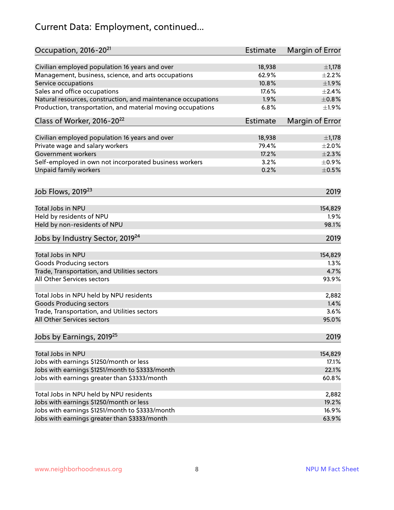# Current Data: Employment, continued...

| Occupation, 2016-20 <sup>21</sup>                            | Estimate | Margin of Error |
|--------------------------------------------------------------|----------|-----------------|
| Civilian employed population 16 years and over               | 18,938   | $\pm$ 1,178     |
| Management, business, science, and arts occupations          | 62.9%    | $\pm 2.2\%$     |
| Service occupations                                          | 10.8%    | ±1.9%           |
| Sales and office occupations                                 | 17.6%    | $\pm 2.4\%$     |
| Natural resources, construction, and maintenance occupations | 1.9%     | $\pm 0.8\%$     |
| Production, transportation, and material moving occupations  | 6.8%     | ±1.9%           |
| Class of Worker, 2016-20 <sup>22</sup>                       | Estimate | Margin of Error |
| Civilian employed population 16 years and over               | 18,938   | $\pm$ 1,178     |
| Private wage and salary workers                              | 79.4%    | $\pm 2.0\%$     |
| Government workers                                           | 17.2%    | $\pm 2.3\%$     |
| Self-employed in own not incorporated business workers       | 3.2%     | $\pm$ 0.9%      |
| Unpaid family workers                                        | 0.2%     | $\pm$ 0.5%      |
| Job Flows, 2019 <sup>23</sup>                                |          | 2019            |
|                                                              |          |                 |
| Total Jobs in NPU                                            |          | 154,829         |
| Held by residents of NPU                                     |          | 1.9%            |
| Held by non-residents of NPU                                 |          | 98.1%           |
| Jobs by Industry Sector, 2019 <sup>24</sup>                  |          | 2019            |
| Total Jobs in NPU                                            |          | 154,829         |
| Goods Producing sectors                                      |          | 1.3%            |
| Trade, Transportation, and Utilities sectors                 |          | 4.7%            |
| All Other Services sectors                                   |          | 93.9%           |
| Total Jobs in NPU held by NPU residents                      |          | 2,882           |
| <b>Goods Producing sectors</b>                               |          | 1.4%            |
| Trade, Transportation, and Utilities sectors                 |          | 3.6%            |
| All Other Services sectors                                   |          | 95.0%           |
| Jobs by Earnings, 2019 <sup>25</sup>                         |          | 2019            |
| Total Jobs in NPU                                            |          | 154,829         |
| Jobs with earnings \$1250/month or less                      |          | 17.1%           |
| Jobs with earnings \$1251/month to \$3333/month              |          | 22.1%           |
|                                                              |          |                 |
| Jobs with earnings greater than \$3333/month                 |          | 60.8%           |
| Total Jobs in NPU held by NPU residents                      |          | 2,882           |
| Jobs with earnings \$1250/month or less                      |          | 19.2%           |
| Jobs with earnings \$1251/month to \$3333/month              |          | 16.9%           |
| Jobs with earnings greater than \$3333/month                 |          | 63.9%           |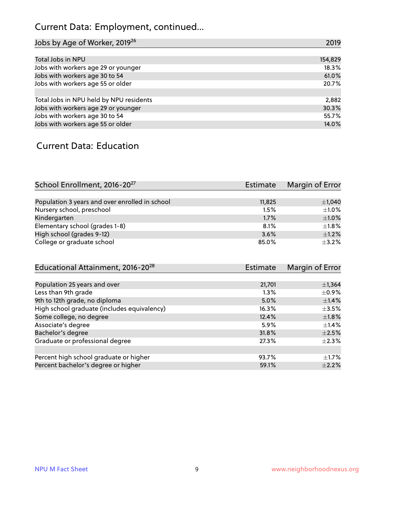# Current Data: Employment, continued...

| Jobs by Age of Worker, 2019 <sup>26</sup> | 2019    |
|-------------------------------------------|---------|
|                                           |         |
| Total Jobs in NPU                         | 154,829 |
| Jobs with workers age 29 or younger       | 18.3%   |
| Jobs with workers age 30 to 54            | 61.0%   |
| Jobs with workers age 55 or older         | 20.7%   |
|                                           |         |
| Total Jobs in NPU held by NPU residents   | 2,882   |
| Jobs with workers age 29 or younger       | 30.3%   |
| Jobs with workers age 30 to 54            | 55.7%   |
| Jobs with workers age 55 or older         | 14.0%   |

#### Current Data: Education

| School Enrollment, 2016-20 <sup>27</sup>       | Estimate | Margin of Error |
|------------------------------------------------|----------|-----------------|
|                                                |          |                 |
| Population 3 years and over enrolled in school | 11,825   | $\pm$ 1,040     |
| Nursery school, preschool                      | 1.5%     | $\pm 1.0\%$     |
| Kindergarten                                   | 1.7%     | $+1.0%$         |
| Elementary school (grades 1-8)                 | 8.1%     | $\pm 1.8\%$     |
| High school (grades 9-12)                      | 3.6%     | $+1.2%$         |
| College or graduate school                     | 85.0%    | $\pm$ 3.2%      |

| Educational Attainment, 2016-20 <sup>28</sup> | Estimate | Margin of Error |
|-----------------------------------------------|----------|-----------------|
|                                               |          |                 |
| Population 25 years and over                  | 21,701   | $\pm$ 1,364     |
| Less than 9th grade                           | 1.3%     | $\pm$ 0.9%      |
| 9th to 12th grade, no diploma                 | 5.0%     | $\pm$ 1.4%      |
| High school graduate (includes equivalency)   | 16.3%    | $\pm$ 3.5%      |
| Some college, no degree                       | 12.4%    | $\pm1.8\%$      |
| Associate's degree                            | 5.9%     | $\pm$ 1.4%      |
| Bachelor's degree                             | 31.8%    | $\pm 2.5\%$     |
| Graduate or professional degree               | 27.3%    | $\pm 2.3\%$     |
|                                               |          |                 |
| Percent high school graduate or higher        | 93.7%    | $\pm 1.7\%$     |
| Percent bachelor's degree or higher           | 59.1%    | $\pm 2.2\%$     |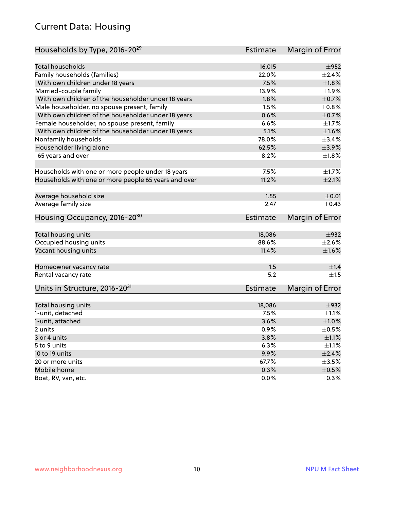#### Current Data: Housing

| Households by Type, 2016-20 <sup>29</sup>            | <b>Estimate</b> | Margin of Error |
|------------------------------------------------------|-----------------|-----------------|
|                                                      |                 |                 |
| <b>Total households</b>                              | 16,015          | $\pm$ 952       |
| Family households (families)                         | 22.0%           | $\pm 2.4\%$     |
| With own children under 18 years                     | 7.5%            | $\pm1.8\%$      |
| Married-couple family                                | 13.9%           | $\pm 1.9\%$     |
| With own children of the householder under 18 years  | 1.8%            | $\pm$ 0.7%      |
| Male householder, no spouse present, family          | 1.5%            | $\pm 0.8\%$     |
| With own children of the householder under 18 years  | 0.6%            | $\pm$ 0.7%      |
| Female householder, no spouse present, family        | 6.6%            | $\pm 1.7\%$     |
| With own children of the householder under 18 years  | 5.1%            | $\pm1.6\%$      |
| Nonfamily households                                 | 78.0%           | $\pm$ 3.4%      |
| Householder living alone                             | 62.5%           | $\pm$ 3.9%      |
| 65 years and over                                    | 8.2%            | $\pm1.8\%$      |
|                                                      |                 |                 |
| Households with one or more people under 18 years    | 7.5%            | $\pm1.7\%$      |
| Households with one or more people 65 years and over | 11.2%           | $\pm 2.1\%$     |
|                                                      |                 |                 |
| Average household size                               | 1.55            | $\pm 0.01$      |
| Average family size                                  | 2.47            | $\pm$ 0.43      |
| Housing Occupancy, 2016-20 <sup>30</sup>             | <b>Estimate</b> | Margin of Error |
|                                                      |                 |                 |
| Total housing units                                  | 18,086          | $\pm$ 932       |
| Occupied housing units                               | 88.6%           | $\pm 2.6\%$     |
| Vacant housing units                                 | 11.4%           | $\pm1.6\%$      |
|                                                      |                 |                 |
| Homeowner vacancy rate                               | 1.5             | ±1.4            |
| Rental vacancy rate                                  | 5.2             | ±1.5            |
| Units in Structure, 2016-20 <sup>31</sup>            | <b>Estimate</b> | Margin of Error |
| Total housing units                                  | 18,086          | $\pm$ 932       |
| 1-unit, detached                                     | 7.5%            | $\pm 1.1\%$     |
| 1-unit, attached                                     | 3.6%            | $\pm1.0\%$      |
| 2 units                                              | 0.9%            | $\pm$ 0.5%      |
|                                                      | 3.8%            |                 |
| 3 or 4 units                                         |                 | $\pm 1.1\%$     |
| 5 to 9 units                                         | 6.3%            | $\pm 1.1\%$     |
| 10 to 19 units                                       | 9.9%            | $\pm 2.4\%$     |
| 20 or more units                                     | 67.7%           | $\pm 3.5\%$     |
| Mobile home                                          | 0.3%            | $\pm$ 0.5%      |
| Boat, RV, van, etc.                                  | 0.0%            | $\pm$ 0.3%      |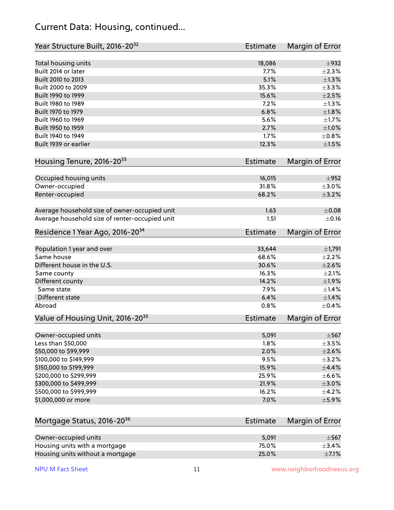#### Current Data: Housing, continued...

| Year Structure Built, 2016-20 <sup>32</sup>    | Estimate        | Margin of Error |
|------------------------------------------------|-----------------|-----------------|
| Total housing units                            | 18,086          | $\pm$ 932       |
| Built 2014 or later                            | 7.7%            | $\pm 2.3\%$     |
| Built 2010 to 2013                             | 5.1%            | $\pm 1.3\%$     |
| Built 2000 to 2009                             | 35.3%           | ±3.3%           |
| Built 1990 to 1999                             | 15.6%           | $\pm 2.5\%$     |
| Built 1980 to 1989                             | 7.2%            | $\pm 1.3\%$     |
| Built 1970 to 1979                             | 6.8%            | $\pm1.8\%$      |
| Built 1960 to 1969                             | 5.6%            | $\pm 1.7\%$     |
| Built 1950 to 1959                             | 2.7%            | $\pm1.0\%$      |
| Built 1940 to 1949                             | 1.7%            | $\pm$ 0.8%      |
| Built 1939 or earlier                          | 12.3%           | $\pm1.5\%$      |
| Housing Tenure, 2016-2033                      | <b>Estimate</b> | Margin of Error |
| Occupied housing units                         | 16,015          | $\pm$ 952       |
| Owner-occupied                                 | 31.8%           | $\pm 3.0\%$     |
| Renter-occupied                                | 68.2%           | $\pm$ 3.2%      |
| Average household size of owner-occupied unit  | 1.63            | $\pm$ 0.08      |
| Average household size of renter-occupied unit | 1.51            | $\pm$ 0.16      |
| Residence 1 Year Ago, 2016-20 <sup>34</sup>    | <b>Estimate</b> | Margin of Error |
| Population 1 year and over                     | 33,644          | $\pm$ 1,791     |
| Same house                                     | 68.6%           | $\pm 2.2\%$     |
| Different house in the U.S.                    | 30.6%           | $\pm 2.6\%$     |
| Same county                                    | 16.3%           | $\pm 2.1\%$     |
| Different county                               | 14.2%           | $\pm$ 1.9%      |
| Same state                                     | 7.9%            | $\pm$ 1.4%      |
| Different state                                | 6.4%            | $\pm$ 1.4%      |
| Abroad                                         | 0.8%            | $\pm$ 0.4%      |
| Value of Housing Unit, 2016-20 <sup>35</sup>   | <b>Estimate</b> | Margin of Error |
| Owner-occupied units                           | 5,091           | $\pm$ 567       |
| Less than \$50,000                             | 1.8%            | $\pm$ 3.5%      |
| \$50,000 to \$99,999                           | 2.0%            | $\pm 2.6\%$     |
| \$100,000 to \$149,999                         | 9.5%            | $\pm$ 3.2%      |
| \$150,000 to \$199,999                         | 15.9%           | $\pm$ 4.4%      |
| \$200,000 to \$299,999                         | 25.9%           | $\pm$ 6.6%      |
| \$300,000 to \$499,999                         | 21.9%           | $\pm 3.0\%$     |
| \$500,000 to \$999,999                         | 16.2%           | $\pm$ 4.2%      |
| \$1,000,000 or more                            | 7.0%            | $\pm$ 5.9%      |
| Mortgage Status, 2016-20 <sup>36</sup>         | <b>Estimate</b> | Margin of Error |
| Owner-occupied units                           | 5,091           | $\pm$ 567       |
| Housing units with a mortgage                  | 75.0%           | $\pm$ 3.4%      |

Housing units without a mortgage  $\pm 7.1\%$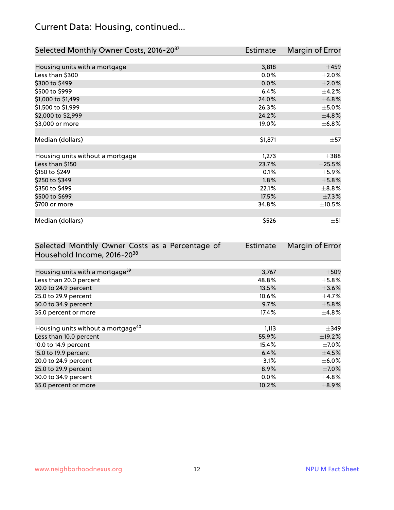# Current Data: Housing, continued...

| Selected Monthly Owner Costs, 2016-20 <sup>37</sup> | Estimate | Margin of Error |
|-----------------------------------------------------|----------|-----------------|
|                                                     |          |                 |
| Housing units with a mortgage                       | 3,818    | $\pm 459$       |
| Less than \$300                                     | 0.0%     | $\pm 2.0\%$     |
| \$300 to \$499                                      | 0.0%     | $\pm 2.0\%$     |
| \$500 to \$999                                      | 6.4%     | $\pm$ 4.2%      |
| \$1,000 to \$1,499                                  | 24.0%    | ±6.8%           |
| \$1,500 to \$1,999                                  | 26.3%    | $\pm$ 5.0%      |
| \$2,000 to \$2,999                                  | 24.2%    | ±4.8%           |
| \$3,000 or more                                     | 19.0%    | $\pm$ 6.8%      |
|                                                     |          |                 |
| Median (dollars)                                    | \$1,871  | $\pm$ 57        |
|                                                     |          |                 |
| Housing units without a mortgage                    | 1,273    | $\pm$ 388       |
| Less than \$150                                     | 23.7%    | ±25.5%          |
| \$150 to \$249                                      | 0.1%     | $\pm$ 5.9%      |
| \$250 to \$349                                      | $1.8\%$  | $\pm$ 5.8%      |
| \$350 to \$499                                      | 22.1%    | $\pm$ 8.8%      |
| \$500 to \$699                                      | 17.5%    | $\pm$ 7.3%      |
| \$700 or more                                       | 34.8%    | $\pm 10.5\%$    |
|                                                     |          |                 |
| Median (dollars)                                    | \$526    | $\pm$ 51        |

| Selected Monthly Owner Costs as a Percentage of | <b>Estimate</b> | Margin of Error |
|-------------------------------------------------|-----------------|-----------------|
| Household Income, 2016-20 <sup>38</sup>         |                 |                 |
|                                                 |                 |                 |
| Housing units with a mortgage <sup>39</sup>     | 3,767           | $\pm$ 509       |
| Less than 20.0 percent                          | 48.8%           | $\pm$ 5.8%      |
| 20.0 to 24.9 percent                            | 13.5%           | $\pm$ 3.6%      |
| 25.0 to 29.9 percent                            | 10.6%           | $\pm$ 4.7%      |
| 30.0 to 34.9 percent                            | 9.7%            | $\pm$ 5.8%      |
| 35.0 percent or more                            | 17.4%           | $\pm 4.8\%$     |
|                                                 |                 |                 |
| Housing units without a mortgage <sup>40</sup>  | 1,113           | $\pm$ 349       |
| Less than 10.0 percent                          | 55.9%           | $\pm$ 19.2%     |
| 10.0 to 14.9 percent                            | 15.4%           | $\pm$ 7.0%      |
| 15.0 to 19.9 percent                            | 6.4%            | $\pm$ 4.5%      |
| 20.0 to 24.9 percent                            | 3.1%            | $\pm$ 6.0%      |
| 25.0 to 29.9 percent                            | 8.9%            | $\pm$ 7.0%      |
| 30.0 to 34.9 percent                            | $0.0\%$         | $\pm$ 4.8%      |
| 35.0 percent or more                            | 10.2%           | $\pm$ 8.9%      |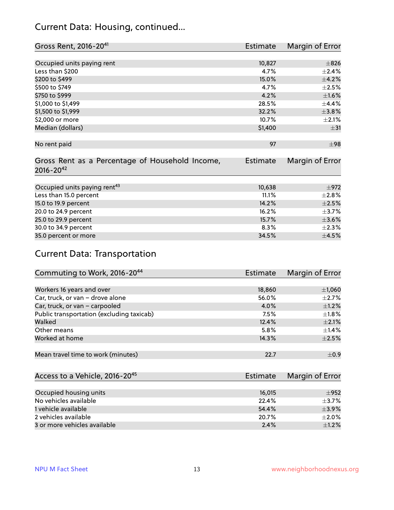#### Current Data: Housing, continued...

| Gross Rent, 2016-20 <sup>41</sup>               | Estimate        | Margin of Error |
|-------------------------------------------------|-----------------|-----------------|
|                                                 |                 |                 |
| Occupied units paying rent                      | 10,827          | $\pm$ 826       |
| Less than \$200                                 | 4.7%            | $\pm 2.4\%$     |
| \$200 to \$499                                  | 15.0%           | $\pm$ 4.2%      |
| \$500 to \$749                                  | 4.7%            | $\pm 2.5\%$     |
| \$750 to \$999                                  | 4.2%            | $\pm1.6\%$      |
| \$1,000 to \$1,499                              | 28.5%           | $\pm$ 4.4%      |
| \$1,500 to \$1,999                              | 32.2%           | ±3.8%           |
| \$2,000 or more                                 | 10.7%           | $\pm 2.1\%$     |
| Median (dollars)                                | \$1,400         | $\pm$ 31        |
|                                                 |                 |                 |
| No rent paid                                    | 97              | $\pm$ 98        |
|                                                 |                 |                 |
| Gross Rent as a Percentage of Household Income, | <b>Estimate</b> | Margin of Error |
| $2016 - 20^{42}$                                |                 |                 |
|                                                 |                 |                 |
| Occupied units paying rent <sup>43</sup>        | 10,638          | $\pm$ 972       |
| Less than 15.0 percent                          | 11.1%           | $\pm 2.8\%$     |
| 15.0 to 19.9 percent                            | 14.2%           | $\pm 2.5\%$     |
| 20.0 to 24.9 percent                            | 16.2%           | $\pm$ 3.7%      |
| 25.0 to 29.9 percent                            | 15.7%           | $\pm 3.6\%$     |
| 30.0 to 34.9 percent                            | 8.3%            | $\pm 2.3\%$     |
| 35.0 percent or more                            | 34.5%           | $\pm$ 4.5%      |

# Current Data: Transportation

| Commuting to Work, 2016-20 <sup>44</sup>  | Estimate | Margin of Error |
|-------------------------------------------|----------|-----------------|
|                                           |          |                 |
| Workers 16 years and over                 | 18,860   | $\pm$ 1,060     |
| Car, truck, or van - drove alone          | 56.0%    | $\pm 2.7\%$     |
| Car, truck, or van - carpooled            | 4.0%     | $\pm$ 1.2%      |
| Public transportation (excluding taxicab) | 7.5%     | $\pm 1.8\%$     |
| Walked                                    | 12.4%    | $\pm 2.1\%$     |
| Other means                               | 5.8%     | $\pm$ 1.4%      |
| Worked at home                            | 14.3%    | $\pm 2.5\%$     |
|                                           |          |                 |
| Mean travel time to work (minutes)        | 22.7     | $\pm$ 0.9       |

| Access to a Vehicle, 2016-20 <sup>45</sup> | Estimate | Margin of Error |
|--------------------------------------------|----------|-----------------|
|                                            |          |                 |
| Occupied housing units                     | 16,015   | $\pm$ 952       |
| No vehicles available                      | 22.4%    | $+3.7%$         |
| 1 vehicle available                        | 54.4%    | $\pm$ 3.9%      |
| 2 vehicles available                       | 20.7%    | $\pm 2.0\%$     |
| 3 or more vehicles available               | 2.4%     | $\pm1.2\%$      |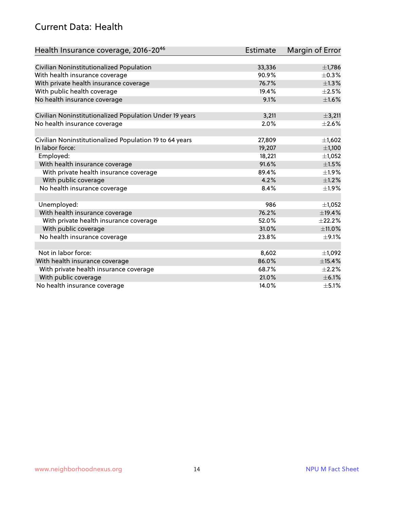#### Current Data: Health

| Health Insurance coverage, 2016-2046                    | <b>Estimate</b> | Margin of Error |
|---------------------------------------------------------|-----------------|-----------------|
|                                                         |                 |                 |
| Civilian Noninstitutionalized Population                | 33,336          | $\pm$ 1,786     |
| With health insurance coverage                          | 90.9%           | $\pm$ 0.3%      |
| With private health insurance coverage                  | 76.7%           | $\pm$ 1.3%      |
| With public health coverage                             | 19.4%           | $\pm 2.5\%$     |
| No health insurance coverage                            | 9.1%            | $\pm1.6\%$      |
| Civilian Noninstitutionalized Population Under 19 years | 3,211           | $\pm$ 3,211     |
| No health insurance coverage                            | 2.0%            | $\pm 2.6\%$     |
|                                                         |                 |                 |
| Civilian Noninstitutionalized Population 19 to 64 years | 27,809          | ±1,602          |
| In labor force:                                         | 19,207          | ±1,100          |
| Employed:                                               | 18,221          | $\pm$ 1,052     |
| With health insurance coverage                          | 91.6%           | $\pm 1.5\%$     |
| With private health insurance coverage                  | 89.4%           | ±1.9%           |
| With public coverage                                    | 4.2%            | $\pm 1.2\%$     |
| No health insurance coverage                            | 8.4%            | ±1.9%           |
|                                                         |                 |                 |
| Unemployed:                                             | 986             | $\pm$ 1,052     |
| With health insurance coverage                          | 76.2%           | ±19.4%          |
| With private health insurance coverage                  | 52.0%           | ±22.2%          |
| With public coverage                                    | 31.0%           | ±11.0%          |
| No health insurance coverage                            | 23.8%           | $\pm$ 9.1%      |
|                                                         |                 |                 |
| Not in labor force:                                     | 8,602           | ±1,092          |
| With health insurance coverage                          | 86.0%           | $\pm$ 15.4%     |
| With private health insurance coverage                  | 68.7%           | $\pm 2.2\%$     |
| With public coverage                                    | 21.0%           | $\pm$ 6.1%      |
| No health insurance coverage                            | 14.0%           | $\pm$ 5.1%      |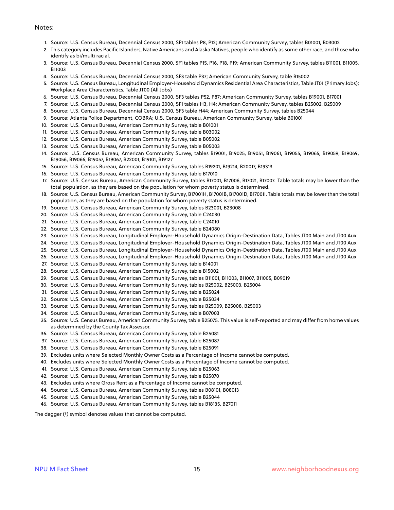#### Notes:

- 1. Source: U.S. Census Bureau, Decennial Census 2000, SF1 tables P8, P12; American Community Survey, tables B01001, B03002
- 2. This category includes Pacific Islanders, Native Americans and Alaska Natives, people who identify as some other race, and those who identify as bi/multi racial.
- 3. Source: U.S. Census Bureau, Decennial Census 2000, SF1 tables P15, P16, P18, P19; American Community Survey, tables B11001, B11005, B11003
- 4. Source: U.S. Census Bureau, Decennial Census 2000, SF3 table P37; American Community Survey, table B15002
- 5. Source: U.S. Census Bureau, Longitudinal Employer-Household Dynamics Residential Area Characteristics, Table JT01 (Primary Jobs); Workplace Area Characteristics, Table JT00 (All Jobs)
- 6. Source: U.S. Census Bureau, Decennial Census 2000, SF3 tables P52, P87; American Community Survey, tables B19001, B17001
- 7. Source: U.S. Census Bureau, Decennial Census 2000, SF1 tables H3, H4; American Community Survey, tables B25002, B25009
- 8. Source: U.S. Census Bureau, Decennial Census 2000, SF3 table H44; American Community Survey, tables B25044
- 9. Source: Atlanta Police Department, COBRA; U.S. Census Bureau, American Community Survey, table B01001
- 10. Source: U.S. Census Bureau, American Community Survey, table B01001
- 11. Source: U.S. Census Bureau, American Community Survey, table B03002
- 12. Source: U.S. Census Bureau, American Community Survey, table B05002
- 13. Source: U.S. Census Bureau, American Community Survey, table B05003
- 14. Source: U.S. Census Bureau, American Community Survey, tables B19001, B19025, B19051, B19061, B19055, B19065, B19059, B19069, B19056, B19066, B19057, B19067, B22001, B19101, B19127
- 15. Source: U.S. Census Bureau, American Community Survey, tables B19201, B19214, B20017, B19313
- 16. Source: U.S. Census Bureau, American Community Survey, table B17010
- 17. Source: U.S. Census Bureau, American Community Survey, tables B17001, B17006, B17021, B17007. Table totals may be lower than the total population, as they are based on the population for whom poverty status is determined.
- 18. Source: U.S. Census Bureau, American Community Survey, B17001H, B17001B, B17001D, B17001I. Table totals may be lower than the total population, as they are based on the population for whom poverty status is determined.
- 19. Source: U.S. Census Bureau, American Community Survey, tables B23001, B23008
- 20. Source: U.S. Census Bureau, American Community Survey, table C24030
- 21. Source: U.S. Census Bureau, American Community Survey, table C24010
- 22. Source: U.S. Census Bureau, American Community Survey, table B24080
- 23. Source: U.S. Census Bureau, Longitudinal Employer-Household Dynamics Origin-Destination Data, Tables JT00 Main and JT00 Aux
- 24. Source: U.S. Census Bureau, Longitudinal Employer-Household Dynamics Origin-Destination Data, Tables JT00 Main and JT00 Aux
- 25. Source: U.S. Census Bureau, Longitudinal Employer-Household Dynamics Origin-Destination Data, Tables JT00 Main and JT00 Aux
- 26. Source: U.S. Census Bureau, Longitudinal Employer-Household Dynamics Origin-Destination Data, Tables JT00 Main and JT00 Aux
- 27. Source: U.S. Census Bureau, American Community Survey, table B14001
- 28. Source: U.S. Census Bureau, American Community Survey, table B15002
- 29. Source: U.S. Census Bureau, American Community Survey, tables B11001, B11003, B11007, B11005, B09019
- 30. Source: U.S. Census Bureau, American Community Survey, tables B25002, B25003, B25004
- 31. Source: U.S. Census Bureau, American Community Survey, table B25024
- 32. Source: U.S. Census Bureau, American Community Survey, table B25034
- 33. Source: U.S. Census Bureau, American Community Survey, tables B25009, B25008, B25003
- 34. Source: U.S. Census Bureau, American Community Survey, table B07003
- 35. Source: U.S. Census Bureau, American Community Survey, table B25075. This value is self-reported and may differ from home values as determined by the County Tax Assessor.
- 36. Source: U.S. Census Bureau, American Community Survey, table B25081
- 37. Source: U.S. Census Bureau, American Community Survey, table B25087
- 38. Source: U.S. Census Bureau, American Community Survey, table B25091
- 39. Excludes units where Selected Monthly Owner Costs as a Percentage of Income cannot be computed.
- 40. Excludes units where Selected Monthly Owner Costs as a Percentage of Income cannot be computed.
- 41. Source: U.S. Census Bureau, American Community Survey, table B25063
- 42. Source: U.S. Census Bureau, American Community Survey, table B25070
- 43. Excludes units where Gross Rent as a Percentage of Income cannot be computed.
- 44. Source: U.S. Census Bureau, American Community Survey, tables B08101, B08013
- 45. Source: U.S. Census Bureau, American Community Survey, table B25044
- 46. Source: U.S. Census Bureau, American Community Survey, tables B18135, B27011

The dagger (†) symbol denotes values that cannot be computed.